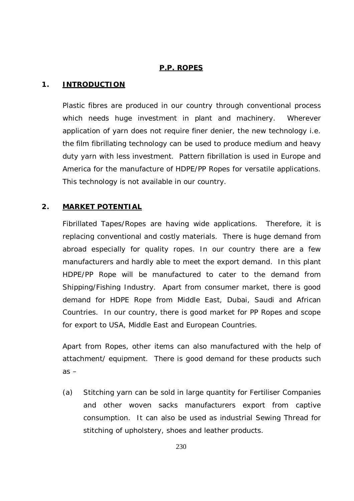## **P.P. ROPES**

### **1. INTRODUCTION**

Plastic fibres are produced in our country through conventional process which needs huge investment in plant and machinery. Wherever application of yarn does not require finer denier, the new technology i.e. the film fibrillating technology can be used to produce medium and heavy duty yarn with less investment. Pattern fibrillation is used in Europe and America for the manufacture of HDPE/PP Ropes for versatile applications. This technology is not available in our country.

# **2. MARKET POTENTIAL**

Fibrillated Tapes/Ropes are having wide applications. Therefore, it is replacing conventional and costly materials. There is huge demand from abroad especially for quality ropes. In our country there are a few manufacturers and hardly able to meet the export demand. In this plant HDPE/PP Rope will be manufactured to cater to the demand from Shipping/Fishing Industry. Apart from consumer market, there is good demand for HDPE Rope from Middle East, Dubai, Saudi and African Countries. In our country, there is good market for PP Ropes and scope for export to USA, Middle East and European Countries.

Apart from Ropes, other items can also manufactured with the help of attachment/ equipment. There is good demand for these products such  $as -$ 

(a) Stitching yarn can be sold in large quantity for Fertiliser Companies and other woven sacks manufacturers export from captive consumption. It can also be used as industrial Sewing Thread for stitching of upholstery, shoes and leather products.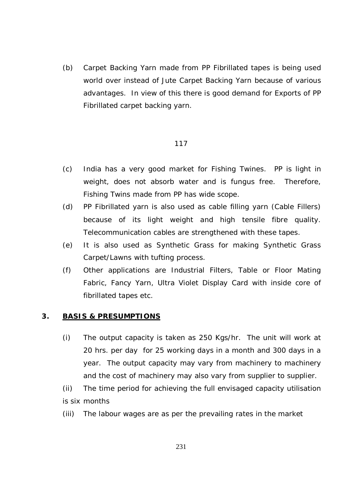(b) Carpet Backing Yarn made from PP Fibrillated tapes is being used world over instead of Jute Carpet Backing Yarn because of various advantages. In view of this there is good demand for Exports of PP Fibrillated carpet backing yarn.

#### 117

- (c) India has a very good market for Fishing Twines. PP is light in weight, does not absorb water and is fungus free. Therefore, Fishing Twins made from PP has wide scope.
- (d) PP Fibrillated yarn is also used as cable filling yarn (Cable Fillers) because of its light weight and high tensile fibre quality. Telecommunication cables are strengthened with these tapes.
- (e) It is also used as Synthetic Grass for making Synthetic Grass Carpet/Lawns with tufting process.
- (f) Other applications are Industrial Filters, Table or Floor Mating Fabric, Fancy Yarn, Ultra Violet Display Card with inside core of fibrillated tapes etc.

#### **3. BASIS & PRESUMPTIONS**

- (i) The output capacity is taken as 250 Kgs/hr. The unit will work at 20 hrs. per day for 25 working days in a month and 300 days in a year. The output capacity may vary from machinery to machinery and the cost of machinery may also vary from supplier to supplier.
- (ii) The time period for achieving the full envisaged capacity utilisation is six months
- (iii) The labour wages are as per the prevailing rates in the market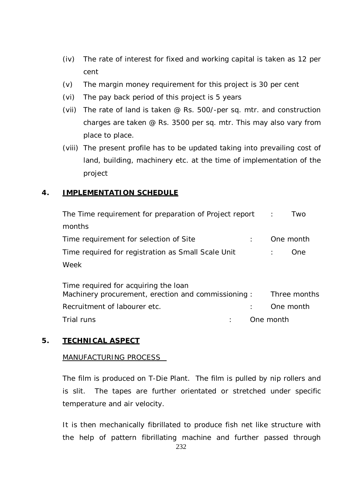- (iv) The rate of interest for fixed and working capital is taken as 12 per cent
- (v) The margin money requirement for this project is 30 per cent
- (vi) The pay back period of this project is 5 years
- (vii) The rate of land is taken @ Rs. 500/-per sq. mtr. and construction charges are taken @ Rs. 3500 per sq. mtr. This may also vary from place to place.
- (viii) The present profile has to be updated taking into prevailing cost of land, building, machinery etc. at the time of implementation of the project

# **4. IMPLEMENTATION SCHEDULE**

| The Time requirement for preparation of Project report                                     | Two<br>$\sim$ 100 |
|--------------------------------------------------------------------------------------------|-------------------|
| months                                                                                     |                   |
| Time requirement for selection of Site                                                     | One month         |
| Time required for registration as Small Scale Unit                                         | One               |
| Week                                                                                       |                   |
| Time required for acquiring the loan<br>Machinery procurement, erection and commissioning: | Three months      |
| Recruitment of labourer etc.                                                               | One month         |

Trial runs in the contract of the contract of the contract of the contract of the contract of the contract of the contract of the contract of the contract of the contract of the contract of the contract of the contract of

# **5. TECHNICAL ASPECT**

### MANUFACTURING PROCESS

The film is produced on T-Die Plant. The film is pulled by nip rollers and is slit. The tapes are further orientated or stretched under specific temperature and air velocity.

It is then mechanically fibrillated to produce fish net like structure with the help of pattern fibrillating machine and further passed through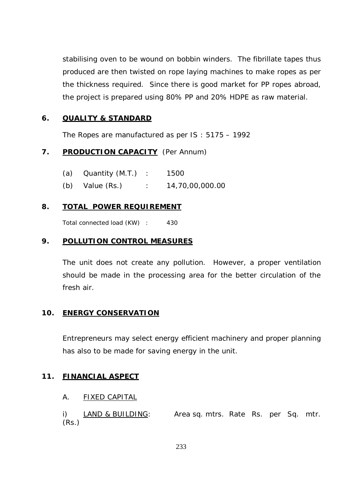stabilising oven to be wound on bobbin winders. The fibrillate tapes thus produced are then twisted on rope laying machines to make ropes as per the thickness required. Since there is good market for PP ropes abroad, the project is prepared using 80% PP and 20% HDPE as raw material.

### **6. QUALITY & STANDARD**

The Ropes are manufactured as per IS : 5175 – 1992

### **7. PRODUCTION CAPACITY** (Per Annum)

- (a) Quantity (M.T.) : 1500
- (b) Value (Rs.) : 14,70,00,000.00

### **8. TOTAL POWER REQUIREMENT**

Total connected load (KW) : 430

#### **9. POLLUTION CONTROL MEASURES**

The unit does not create any pollution. However, a proper ventilation should be made in the processing area for the better circulation of the fresh air.

### **10. ENERGY CONSERVATION**

Entrepreneurs may select energy efficient machinery and proper planning has also to be made for saving energy in the unit.

#### **11. FINANCIAL ASPECT**

#### A. FIXED CAPITAL

i) LAND & BUILDING: Area sq. mtrs. Rate Rs. per Sq. mtr. (Rs.)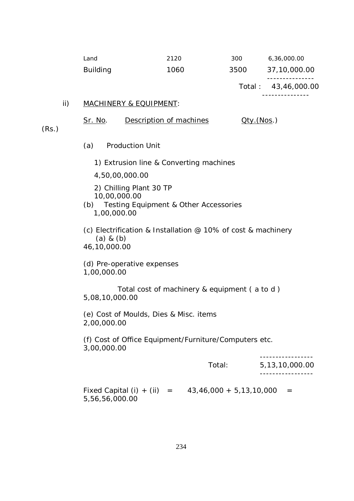|                 |      |      | Total: 43,46,000.00 |
|-----------------|------|------|---------------------|
| <b>Building</b> | 1060 | 3500 | 37,10,000.00        |
| Land            | 2120 | 300  | 6,36,000.00         |

#### ii) MACHINERY & EQUIPMENT:

Sr. No. Description of machines Qty.(Nos.)

(Rs.)

(a) Production Unit

1) Extrusion line & Converting machines

4,50,00,000.00

2) Chilling Plant 30 TP 10,00,000.00

(b) Testing Equipment & Other Accessories 1,00,000.00

(c) Electrification & Installation @ 10% of cost & machinery (a) & (b) 46,10,000.00

(d) Pre-operative expenses 1,00,000.00

 Total cost of machinery & equipment ( a to d ) 5,08,10,000.00

(e) Cost of Moulds, Dies & Misc. items 2,00,000.00

(f) Cost of Office Equipment/Furniture/Computers etc. 3,00,000.00

 ----------------- Total: 5,13,10,000.00 ----------------- Fixed Capital (i) + (ii) =  $43,46,000 + 5,13,10,000 =$ 5,56,56,000.00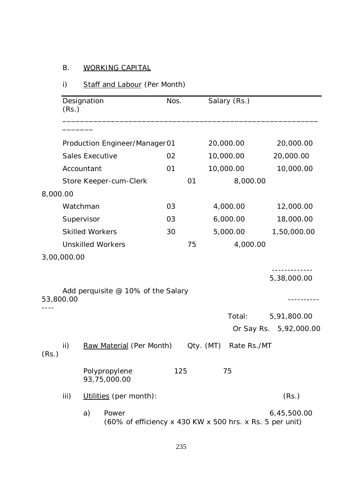# B. WORKING CAPITAL

# i) Staff and Labour (Per Month)

|           | (Rs.)                    | Designation                   |                                                                   | Nos. |           | Salary (Rs.) |                                       |
|-----------|--------------------------|-------------------------------|-------------------------------------------------------------------|------|-----------|--------------|---------------------------------------|
|           |                          |                               |                                                                   |      |           |              |                                       |
|           |                          | Production Engineer/Manager01 |                                                                   |      |           | 20,000.00    | 20,000.00                             |
|           |                          | <b>Sales Executive</b>        |                                                                   |      |           | 10,000.00    | 20,000.00                             |
|           |                          | Accountant                    |                                                                   | 01   |           | 10,000.00    | 10,000.00                             |
|           |                          |                               | Store Keeper-cum-Clerk                                            |      | 01        | 8,000.00     |                                       |
| 8,000.00  |                          |                               |                                                                   |      |           |              |                                       |
|           |                          | Watchman                      |                                                                   | 03   |           | 4,000.00     | 12,000.00                             |
|           |                          | Supervisor                    |                                                                   | 03   |           | 6,000.00     | 18,000.00                             |
|           |                          | <b>Skilled Workers</b>        |                                                                   | 30   |           | 5,000.00     | 1,50,000.00                           |
|           | <b>Unskilled Workers</b> |                               |                                                                   |      | 75        | 4,000.00     |                                       |
|           | 3,00,000.00              |                               |                                                                   |      |           |              |                                       |
|           |                          |                               | Add perquisite @ 10% of the Salary                                |      |           |              | 5,38,000.00                           |
| 53,800.00 |                          |                               |                                                                   |      |           |              |                                       |
|           |                          |                               |                                                                   |      |           | Total:       | 5,91,800.00<br>Or Say Rs. 5,92,000.00 |
| (Rs.)     | ii)                      |                               | Raw Material (Per Month)                                          |      | Qty. (MT) | Rate Rs./MT  |                                       |
|           |                          |                               | Polypropylene<br>93,75,000.00                                     | 125  |           | 75           |                                       |
|           | iii)                     |                               | Utilities (per month):                                            |      |           |              | (Rs.)                                 |
|           |                          | a)                            | Power<br>(60% of efficiency x 430 KW x 500 hrs. x Rs. 5 per unit) |      |           |              | 6,45,500.00                           |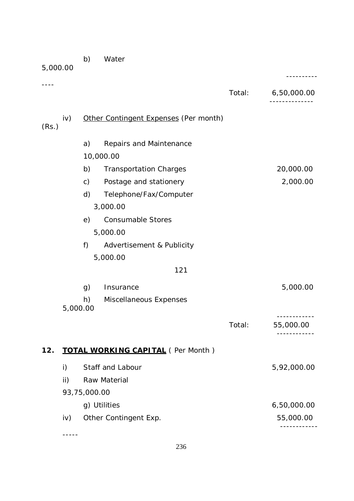| 5,000.00 |          | b)            | Water                                    |        |             |
|----------|----------|---------------|------------------------------------------|--------|-------------|
|          |          |               |                                          | Total: | 6,50,000.00 |
| (Rs.)    | iv)      |               | Other Contingent Expenses (Per month)    |        |             |
|          |          | a)            | Repairs and Maintenance                  |        |             |
|          |          |               | 10,000.00                                |        |             |
|          |          | b)            | <b>Transportation Charges</b>            |        | 20,000.00   |
|          |          | $\mathsf{c})$ | Postage and stationery                   |        | 2,000.00    |
|          |          | d)            | Telephone/Fax/Computer                   |        |             |
|          |          |               | 3,000.00                                 |        |             |
|          |          | e)            | <b>Consumable Stores</b>                 |        |             |
|          |          |               | 5,000.00                                 |        |             |
|          |          | f)            | Advertisement & Publicity                |        |             |
|          |          |               | 5,000.00                                 |        |             |
|          |          |               | 121                                      |        |             |
|          |          | g)            | Insurance                                |        | 5,000.00    |
|          | 5,000.00 | h)            | Miscellaneous Expenses                   |        |             |
|          |          |               |                                          | Total: | 55,000.00   |
| 12.      |          |               | <b>TOTAL WORKING CAPITAL (Per Month)</b> |        |             |
|          | i)       |               | Staff and Labour                         |        | 5,92,000.00 |
|          | ii)      |               | Raw Material                             |        |             |
|          |          | 93,75,000.00  |                                          |        |             |
|          |          |               | g) Utilities                             |        | 6,50,000.00 |
|          | iv)      |               | Other Contingent Exp.                    |        | 55,000.00   |
|          |          |               |                                          |        |             |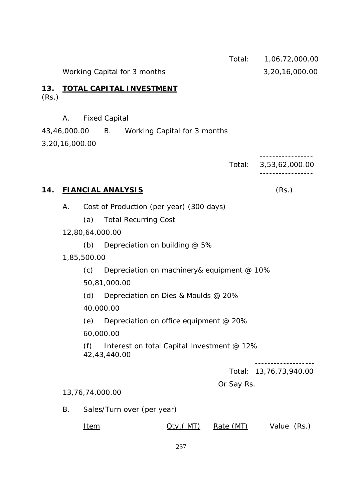Total: 1,06,72,000.00 Working Capital for 3 months 3,20,16,000.00 **13. TOTAL CAPITAL INVESTMENT** (Rs.) A. Fixed Capital 43,46,000.00 B. Working Capital for 3 months 3,20,16,000.00 ----------------- Total: 3,53,62,000.00 ----------------- **14. FIANCIAL ANALYSIS** (Rs.) A. Cost of Production (per year) (300 days) (a) Total Recurring Cost 12,80,64,000.00 (b) Depreciation on building @ 5% 1,85,500.00 (c) Depreciation on machinery& equipment @ 10% 50,81,000.00 (d) Depreciation on Dies & Moulds @ 20% 40,000.00 (e) Depreciation on office equipment @ 20% 60,000.00 (f) Interest on total Capital Investment @ 12% 42,43,440.00 ------------------- Total: 13,76,73,940.00 Or Say Rs. 13,76,74,000.00 B. Sales/Turn over (per year) Item  $Qty.(MT)$  Rate (MT) Value (Rs.)

237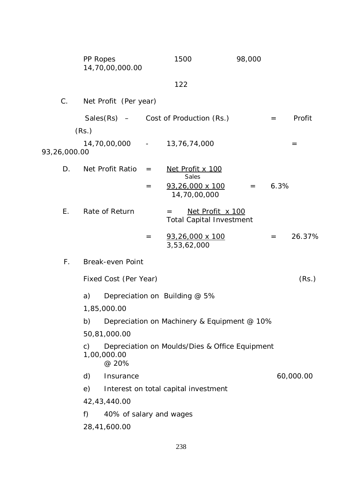|              | PP Ropes<br>14,70,00,000.00   |     | 1500                                                       | 98,000 |      |           |
|--------------|-------------------------------|-----|------------------------------------------------------------|--------|------|-----------|
|              |                               |     | 122                                                        |        |      |           |
| $C_{\cdot}$  | Net Profit (Per year)         |     |                                                            |        |      |           |
|              | (Rs.)                         |     | Sales $(Rs)$ – Cost of Production $(Rs.)$                  |        | $=$  | Profit    |
| 93,26,000.00 | 14,70,00,000 -                |     | 13,76,74,000                                               |        |      | $=$       |
| D.           | Net Profit Ratio              | $=$ | Net Profit x 100<br>Sales                                  |        |      |           |
|              |                               | $=$ | $93,26,000 \times 100$<br>14,70,00,000                     | $=$    | 6.3% |           |
| Ε.           | Rate of Return                |     | Net Profit x 100<br>$=$<br><b>Total Capital Investment</b> |        |      |           |
|              |                               | $=$ | 93,26,000 x 100<br>3,53,62,000                             |        | $=$  | 26.37%    |
| $F_{\perp}$  | Break-even Point              |     |                                                            |        |      |           |
|              | Fixed Cost (Per Year)         |     |                                                            |        |      | (Rs.)     |
|              | a)<br>1,85,000.00             |     | Depreciation on Building @ 5%                              |        |      |           |
|              |                               |     | b) Depreciation on Machinery & Equipment @ 10%             |        |      |           |
|              | 50,81,000.00                  |     |                                                            |        |      |           |
|              | c)<br>1,00,000.00<br>@ 20%    |     | Depreciation on Moulds/Dies & Office Equipment             |        |      |           |
|              | d)<br>Insurance               |     |                                                            |        |      | 60,000.00 |
|              | e)                            |     | Interest on total capital investment                       |        |      |           |
|              | 42,43,440.00                  |     |                                                            |        |      |           |
|              | f)<br>40% of salary and wages |     |                                                            |        |      |           |
|              | 28,41,600.00                  |     |                                                            |        |      |           |
|              |                               |     |                                                            |        |      |           |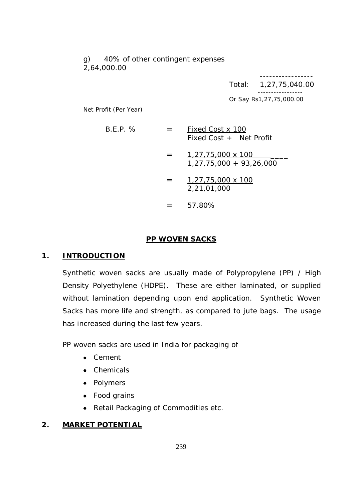g) 40% of other contingent expenses 2,64,000.00

> ----------------- Total: 1,27,75,040.00 ----------------- Or Say Rs1,27,75,000.00

Net Profit (Per Year)

- $B.E.P. % =$  Fixed Cost x 100 Fixed Cost + Net Profit
	- $= 1,27,75,000 \times 100$ 1,27,75,000 + 93,26,000
	- $=$  1,27,75,000 x 100 2,21,01,000
	- $= 57.80\%$

### **PP WOVEN SACKS**

#### **1. INTRODUCTION**

Synthetic woven sacks are usually made of Polypropylene (PP) / High Density Polyethylene (HDPE). These are either laminated, or supplied without lamination depending upon end application. Synthetic Woven Sacks has more life and strength, as compared to jute bags. The usage has increased during the last few years.

PP woven sacks are used in India for packaging of

- Cement
- Chemicals
- Polymers
- Food grains
- Retail Packaging of Commodities etc.

#### **2. MARKET POTENTIAL**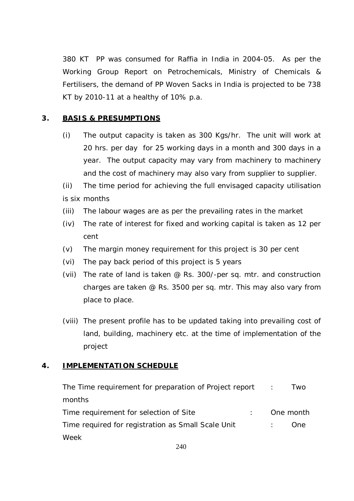380 KT PP was consumed for Raffia in India in 2004-05. As per the Working Group Report on Petrochemicals, Ministry of Chemicals & Fertilisers, the demand of PP Woven Sacks in India is projected to be 738 KT by 2010-11 at a healthy of 10% p.a.

### **3. BASIS & PRESUMPTIONS**

(i) The output capacity is taken as 300 Kgs/hr. The unit will work at 20 hrs. per day for 25 working days in a month and 300 days in a year. The output capacity may vary from machinery to machinery and the cost of machinery may also vary from supplier to supplier.

(ii) The time period for achieving the full envisaged capacity utilisation is six months

- (iii) The labour wages are as per the prevailing rates in the market
- (iv) The rate of interest for fixed and working capital is taken as 12 per cent
- (v) The margin money requirement for this project is 30 per cent
- (vi) The pay back period of this project is 5 years
- (vii) The rate of land is taken @ Rs. 300/-per sq. mtr. and construction charges are taken @ Rs. 3500 per sq. mtr. This may also vary from place to place.
- (viii) The present profile has to be updated taking into prevailing cost of land, building, machinery etc. at the time of implementation of the project

### **4. IMPLEMENTATION SCHEDULE**

| The Time requirement for preparation of Project report : |  | I WO      |
|----------------------------------------------------------|--|-----------|
| months                                                   |  |           |
| Time requirement for selection of Site                   |  | One month |
| Time required for registration as Small Scale Unit       |  | One.      |
| Week                                                     |  |           |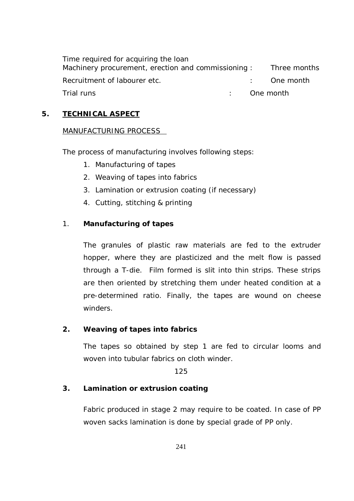Time required for acquiring the loan Machinery procurement, erection and commissioning : Three months Recruitment of labourer etc. The month of the set of the month Trial runs : One month

### **5. TECHNICAL ASPECT**

### MANUFACTURING PROCESS

The process of manufacturing involves following steps:

- 1. Manufacturing of tapes
- 2. Weaving of tapes into fabrics
- 3. Lamination or extrusion coating (if necessary)
- 4. Cutting, stitching & printing

# 1. **Manufacturing of tapes**

The granules of plastic raw materials are fed to the extruder hopper, where they are plasticized and the melt flow is passed through a T-die. Film formed is slit into thin strips. These strips are then oriented by stretching them under heated condition at a pre-determined ratio. Finally, the tapes are wound on cheese winders.

# **2. Weaving of tapes into fabrics**

The tapes so obtained by step 1 are fed to circular looms and woven into tubular fabrics on cloth winder.

125

# **3. Lamination or extrusion coating**

Fabric produced in stage 2 may require to be coated. In case of PP woven sacks lamination is done by special grade of PP only.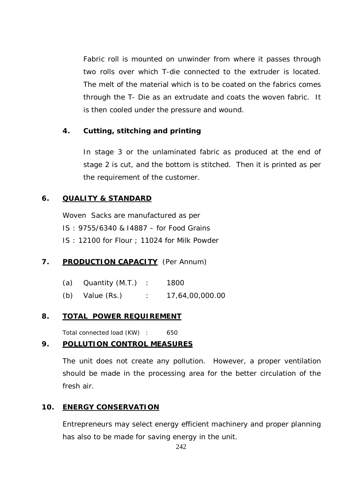Fabric roll is mounted on unwinder from where it passes through two rolls over which T-die connected to the extruder is located. The melt of the material which is to be coated on the fabrics comes through the T- Die as an extrudate and coats the woven fabric. It is then cooled under the pressure and wound.

### **4. Cutting, stitching and printing**

In stage 3 or the unlaminated fabric as produced at the end of stage 2 is cut, and the bottom is stitched. Then it is printed as per the requirement of the customer.

### **6. QUALITY & STANDARD**

Woven Sacks are manufactured as per IS : 9755/6340 & I4887 – for Food Grains IS : 12100 for Flour ; 11024 for Milk Powder

### **7. PRODUCTION CAPACITY** (Per Annum)

| (a) Quantity $(M.T.)$ : | 1800            |
|-------------------------|-----------------|
| (b) Value $(Rs.)$       | 17,64,00,000.00 |

#### **8. TOTAL POWER REQUIREMENT**

Total connected load (KW) : 650

### **9. POLLUTION CONTROL MEASURES**

The unit does not create any pollution. However, a proper ventilation should be made in the processing area for the better circulation of the fresh air.

### **10. ENERGY CONSERVATION**

Entrepreneurs may select energy efficient machinery and proper planning has also to be made for saving energy in the unit.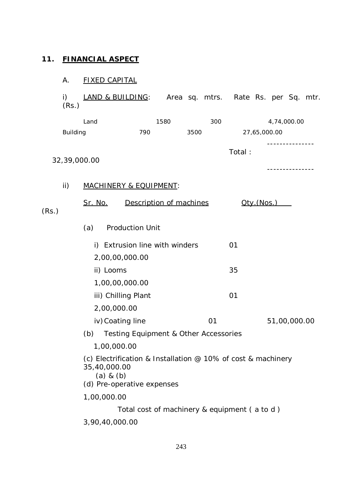# **11. FINANCIAL ASPECT**

# A. FIXED CAPITAL

i) LAND & BUILDING: Area sq. mtrs. Rate Rs. per Sq. mtr.  $(Rs.)$ 

|                 | Land                          | 1580                                                                                       | 300  |        | 4,74,000.00        |  |  |  |
|-----------------|-------------------------------|--------------------------------------------------------------------------------------------|------|--------|--------------------|--|--|--|
| <b>Building</b> |                               | 790                                                                                        | 3500 |        | 27,65,000.00       |  |  |  |
|                 | 32,39,000.00                  |                                                                                            |      | Total: | ------------       |  |  |  |
| ii)             |                               | <b>MACHINERY &amp; EQUIPMENT:</b>                                                          |      |        |                    |  |  |  |
| (Rs.)           | <u>Sr. No.</u>                | Description of machines                                                                    |      |        | <u> Oty.(Nos.)</u> |  |  |  |
|                 | (a)                           | <b>Production Unit</b>                                                                     |      |        |                    |  |  |  |
|                 |                               | i) Extrusion line with winders                                                             |      | 01     |                    |  |  |  |
|                 |                               | 2,00,00,000.00                                                                             |      |        |                    |  |  |  |
| ii) Looms       |                               |                                                                                            |      | 35     |                    |  |  |  |
|                 |                               | 1,00,00,000.00                                                                             |      |        |                    |  |  |  |
|                 |                               | iii) Chilling Plant                                                                        |      | 01     |                    |  |  |  |
|                 | 2,00,000.00                   |                                                                                            |      |        |                    |  |  |  |
|                 |                               | iv) Coating line                                                                           | 01   |        | 51,00,000.00       |  |  |  |
|                 | (b)                           | <b>Testing Equipment &amp; Other Accessories</b>                                           |      |        |                    |  |  |  |
|                 |                               | 1,00,000.00                                                                                |      |        |                    |  |  |  |
|                 | 35,40,000.00<br>$(a)$ & $(b)$ | (c) Electrification & Installation @ 10% of cost & machinery<br>(d) Pre-operative expenses |      |        |                    |  |  |  |
|                 |                               | 1,00,000.00                                                                                |      |        |                    |  |  |  |
|                 |                               | Total cost of machinery & equipment (a to d)                                               |      |        |                    |  |  |  |
|                 |                               |                                                                                            |      |        |                    |  |  |  |

3,90,40,000.00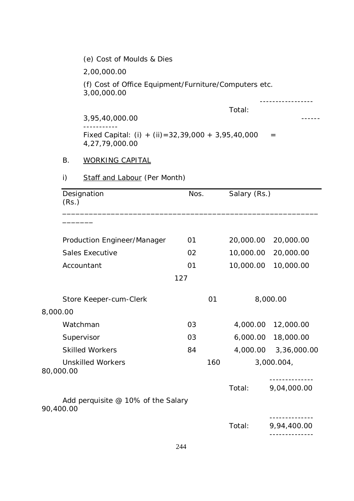(e) Cost of Moulds & Dies 2,00,000.00 (f) Cost of Office Equipment/Furniture/Computers etc. 3,00,000.00 ----------------- Total: 3,95,40,000.00 ------ ----------- Fixed Capital: (i) + (ii) =  $32,39,000 + 3,95,40,000 =$ 4,27,79,000.00 B. WORKING CAPITAL i) Staff and Labour (Per Month) Designation Nos. Salary (Rs.) (Rs.) \_\_\_\_\_\_\_\_\_\_\_\_\_\_\_\_\_\_\_\_\_\_\_\_\_\_\_\_\_\_\_\_\_\_\_\_\_\_\_\_\_\_\_\_\_\_\_\_\_\_\_\_\_\_\_\_\_\_ \_\_\_\_\_\_\_ Production Engineer/Manager 01 20,000.00 20,000.00 Sales Executive 02 02 10,000.00 20,000.00 Accountant 01 01 10,000.00 10,000.00 127 Store Keeper-cum-Clerk 01 8,000.00 8,000.00 Watchman 03 4,000.00 12,000.00 Supervisor 03 6,000.00 18,000.00 Skilled Workers 84 4,000.00 3,36,000.00 Unskilled Workers 160 3,000.004, 80,000.00 -------------- Total: 9,04,000.00 Add perquisite @ 10% of the Salary 90,400.00 -------------- Total: 9,94,400.00 --------------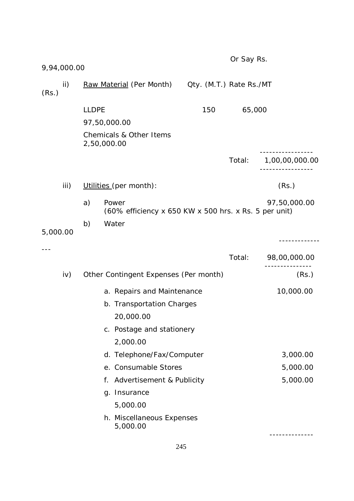| 9,94,000.00  |              |                                                                                                               |                         | Or Say Rs. |                |
|--------------|--------------|---------------------------------------------------------------------------------------------------------------|-------------------------|------------|----------------|
| ii)<br>(Rs.) |              | <u>Raw Material</u> (Per Month)                                                                               | Qty. (M.T.) Rate Rs./MT |            |                |
|              | <b>LLDPE</b> | 97,50,000.00<br>Chemicals & Other Items<br>2,50,000.00                                                        | 150                     | 65,000     |                |
|              |              |                                                                                                               |                         | Total:     | 1,00,00,000.00 |
| iii)         |              | Utilities (per month):                                                                                        |                         |            | (Rs.)          |
|              | a)           | Power<br>(60% efficiency x 650 KW x 500 hrs. x Rs. 5 per unit)                                                |                         |            | 97,50,000.00   |
| 5,000.00     | b)           | Water                                                                                                         |                         |            |                |
|              |              |                                                                                                               |                         | Total:     | 98,00,000.00   |
| iv)          |              | Other Contingent Expenses (Per month)                                                                         |                         |            | (Rs.)          |
|              |              | a. Repairs and Maintenance<br>b. Transportation Charges<br>20,000.00<br>c. Postage and stationery<br>2,000.00 |                         |            | 10,000.00      |
|              |              | d. Telephone/Fax/Computer                                                                                     |                         |            | 3,000.00       |
|              |              | e. Consumable Stores                                                                                          |                         |            | 5,000.00       |
|              |              | f. Advertisement & Publicity<br>g. Insurance<br>5,000.00<br>h. Miscellaneous Expenses                         |                         |            | 5,000.00       |
|              |              | 5,000.00                                                                                                      |                         |            |                |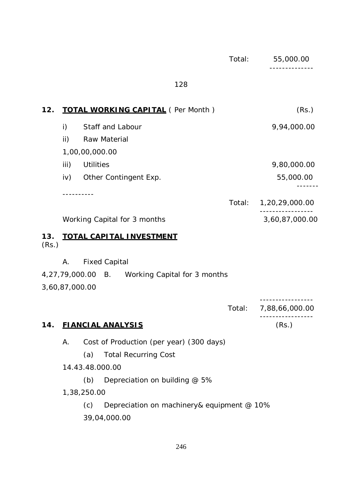|              |                |                   |                                                | Total: | 55,000.00<br>. _ _ _ _ _ _ _ _ |
|--------------|----------------|-------------------|------------------------------------------------|--------|--------------------------------|
|              |                |                   | 128                                            |        |                                |
| 12.          |                |                   | <b>TOTAL WORKING CAPITAL</b> (Per Month)       |        | (Rs.)                          |
|              | $\mathsf{i}$   |                   | Staff and Labour                               |        | 9,94,000.00                    |
|              | ii)            |                   | Raw Material                                   |        |                                |
|              |                | 1,00,00,000.00    |                                                |        |                                |
|              | iii)           | <b>Utilities</b>  |                                                |        | 9,80,000.00                    |
|              | iv)            |                   | Other Contingent Exp.                          |        | 55,000.00                      |
|              |                | - - - - - - - - - |                                                | Total: | 1,20,29,000.00                 |
|              |                |                   | Working Capital for 3 months                   |        | 3,60,87,000.00                 |
| 13.<br>(Rs.) |                |                   | <u>TOTAL CAPITAL INVESTMENT</u>                |        |                                |
|              | Α.             |                   | <b>Fixed Capital</b>                           |        |                                |
|              |                |                   | 4,27,79,000.00 B. Working Capital for 3 months |        |                                |
|              | 3,60,87,000.00 |                   |                                                |        |                                |
|              |                |                   |                                                | Total: | 7,88,66,000.00                 |
| 14.          |                |                   | <b>FIANCIAL ANALYSIS</b>                       |        | (Rs.)                          |
|              | А.             |                   | Cost of Production (per year) (300 days)       |        |                                |
|              |                | (a)               | <b>Total Recurring Cost</b>                    |        |                                |
|              |                |                   | 14.43.48.000.00                                |        |                                |
|              |                | (b)               | Depreciation on building @ 5%                  |        |                                |
|              |                | 1,38,250.00       |                                                |        |                                |
|              |                | (c)               | Depreciation on machinery& equipment @ 10%     |        |                                |

39,04,000.00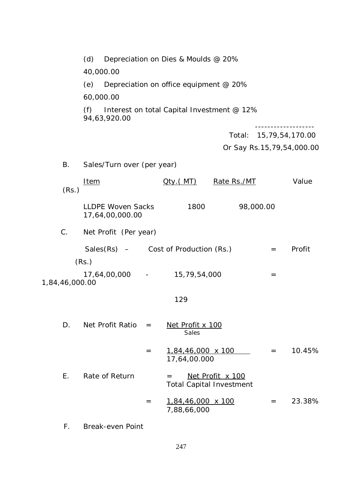|                | (d)                                                |                                            | Depreciation on Dies & Moulds @ 20%      |                                                     |                 |                               |  |  |
|----------------|----------------------------------------------------|--------------------------------------------|------------------------------------------|-----------------------------------------------------|-----------------|-------------------------------|--|--|
|                | 40,000.00                                          |                                            |                                          |                                                     |                 |                               |  |  |
|                | (e)                                                |                                            | Depreciation on office equipment @ 20%   |                                                     |                 |                               |  |  |
|                | 60,000.00                                          |                                            |                                          |                                                     |                 |                               |  |  |
|                | (f)<br>94,63,920.00                                | Interest on total Capital Investment @ 12% |                                          |                                                     |                 |                               |  |  |
|                |                                                    |                                            |                                          | Total:                                              | 15,79,54,170.00 |                               |  |  |
|                |                                                    |                                            |                                          |                                                     |                 | Or Say Rs. 15, 79, 54, 000.00 |  |  |
| <b>B.</b>      | Sales/Turn over (per year)                         |                                            |                                          |                                                     |                 |                               |  |  |
| (Rs.)          | <u>Item</u>                                        |                                            | <u> Qty.( MT)</u>                        | Rate Rs./MT                                         |                 | Value                         |  |  |
|                | <b>LLDPE Woven Sacks</b><br>17,64,00,000.00        |                                            | 1800                                     |                                                     | 98,000.00       |                               |  |  |
| $C$ .          | Net Profit (Per year)                              |                                            |                                          |                                                     |                 |                               |  |  |
|                | Sales $(Rs)$ – Cost of Production $(Rs.)$<br>(Rs.) |                                            |                                          |                                                     | $=$             | Profit                        |  |  |
| 1,84,46,000.00 | 17,64,00,000 -                                     |                                            | 15,79,54,000                             |                                                     | $=$             |                               |  |  |
|                |                                                    |                                            | 129                                      |                                                     |                 |                               |  |  |
| D.             | Net Profit Ratio                                   | $=$                                        | Net Profit x 100<br><b>Sales</b>         |                                                     |                 |                               |  |  |
|                |                                                    | $=$                                        | $1,84,46,000 \times 100$<br>17,64,00.000 |                                                     | $=$             | 10.45%                        |  |  |
| Ε.             | Rate of Return                                     |                                            | $=$                                      | Net Profit x 100<br><b>Total Capital Investment</b> |                 |                               |  |  |
|                |                                                    | $=$                                        | <u>1,84,46,000 x 100</u><br>7,88,66,000  |                                                     | $=$             | 23.38%                        |  |  |
|                |                                                    |                                            |                                          |                                                     |                 |                               |  |  |

F. Break-even Point